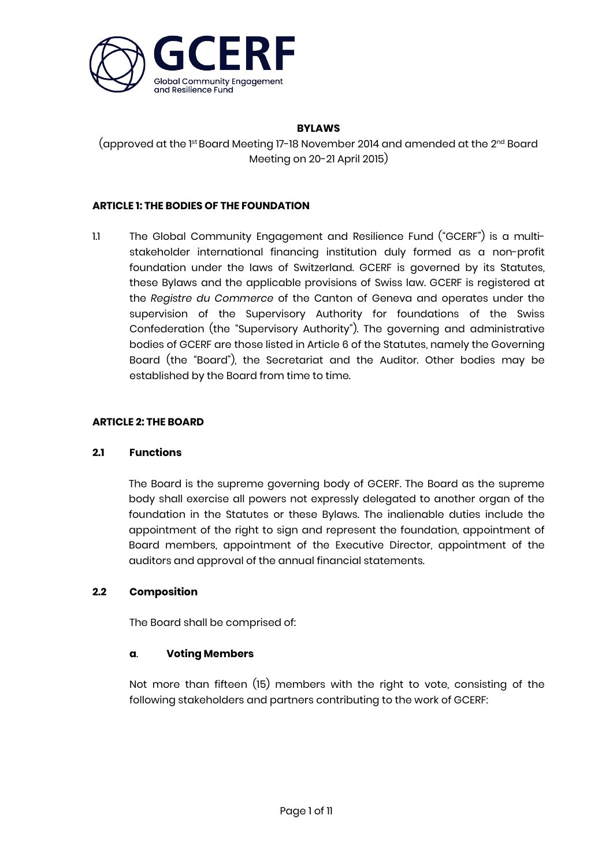

## **BYLAWS**

(approved at the 1st Board Meeting 17-18 November 2014 and amended at the 2<sup>na</sup> Board Meeting on 20-21 April 2015)

# **ARTICLE 1: THE BODIES OF THE FOUNDATION**

1.1 The Global Community Engagement and Resilience Fund ("GCERF") is a multistakeholder international financing institution duly formed as a non-profit foundation under the laws of Switzerland. GCERF is governed by its Statutes, these Bylaws and the applicable provisions of Swiss law. GCERF is registered at the *Registre du Commerce* of the Canton of Geneva and operates under the supervision of the Supervisory Authority for foundations of the Swiss Confederation (the "Supervisory Authority"). The governing and administrative bodies of GCERF are those listed in Article 6 of the Statutes, namely the Governing Board (the "Board"), the Secretariat and the Auditor. Other bodies may be established by the Board from time to time.

## **ARTICLE 2: THE BOARD**

## **2.1 Functions**

The Board is the supreme governing body of GCERF. The Board as the supreme body shall exercise all powers not expressly delegated to another organ of the foundation in the Statutes or these Bylaws. The inalienable duties include the appointment of the right to sign and represent the foundation, appointment of Board members, appointment of the Executive Director, appointment of the auditors and approval of the annual financial statements.

## **2.2 Composition**

The Board shall be comprised of:

## **a**. **Voting Members**

Not more than fifteen (15) members with the right to vote, consisting of the following stakeholders and partners contributing to the work of GCERF: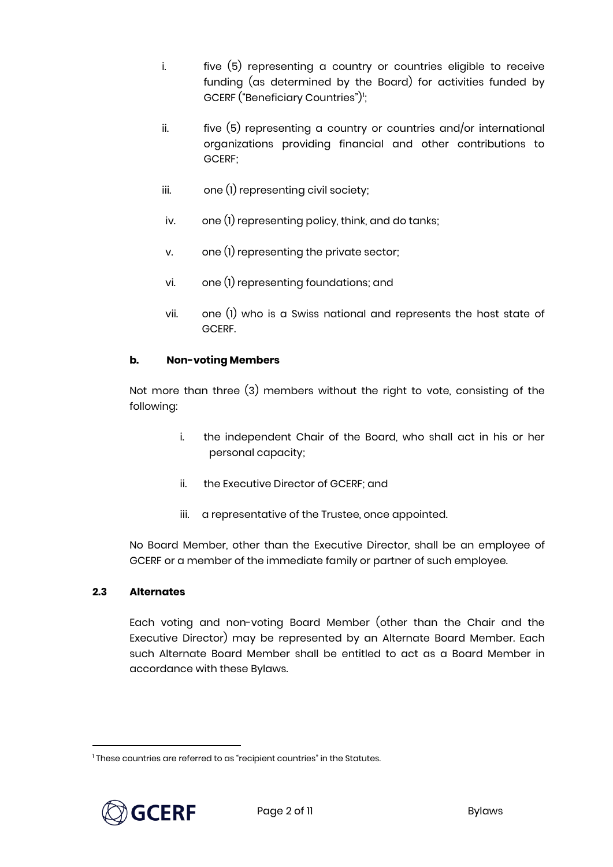- i. five (5) representing a country or countries eligible to receive funding (as determined by the Board) for activities funded by GCERF ("Beneficiary Countries"*)*";
- ii.  $five(5)$  representing a country or countries and/or international organizations providing financial and other contributions to GCERF;
- iii. one (1) representing civil society;
- iv. one (1) representing policy, think, and do tanks;
- v. one (1) representing the private sector;
- vi. one (1) representing foundations; and
- vii. one (1) who is a Swiss national and represents the host state of GCERF.

# **b. Non-voting Members**

Not more than three (3) members without the right to vote, consisting of the following:

- i. the independent Chair of the Board, who shall act in his or her personal capacity;
- ii. the Executive Director of GCERF; and
- iii. a representative of the Trustee, once appointed.

No Board Member, other than the Executive Director, shall be an employee of GCERF or a member of the immediate family or partner of such employee.

## **2.3 Alternates**

Each voting and non-voting Board Member (other than the Chair and the Executive Director) may be represented by an Alternate Board Member. Each such Alternate Board Member shall be entitled to act as a Board Member in accordance with these Bylaws.

<span id="page-1-0"></span><sup>&</sup>lt;sup>1</sup> These countries are referred to as "recipient countries" in the Statutes.



 $\overline{a}$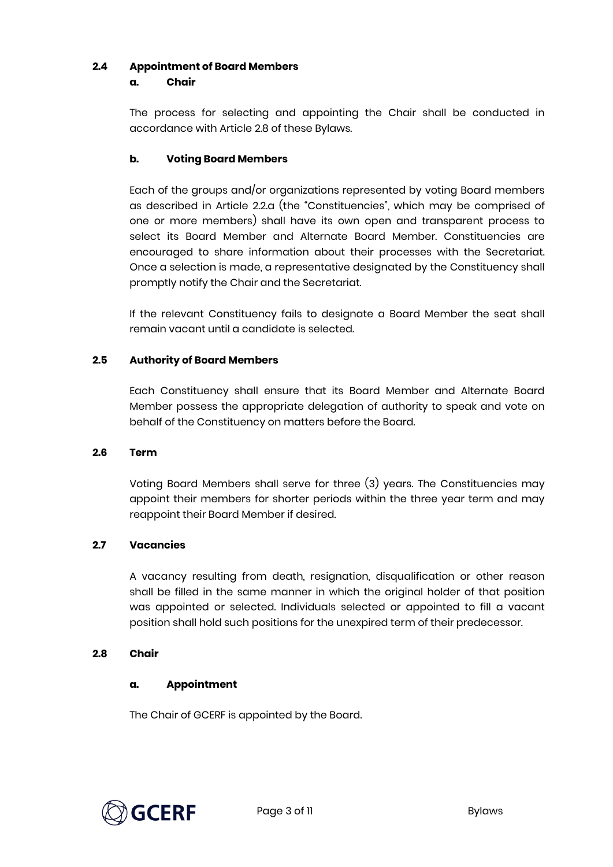## **2.4 Appointment of Board Members**

#### **a. Chair**

The process for selecting and appointing the Chair shall be conducted in accordance with Article 2.8 of these Bylaws.

# **b. Voting Board Members**

Each of the groups and/or organizations represented by voting Board members as described in Article 2.2.a (the "Constituencies", which may be comprised of one or more members) shall have its own open and transparent process to select its Board Member and Alternate Board Member. Constituencies are encouraged to share information about their processes with the Secretariat. Once a selection is made, a representative designated by the Constituency shall promptly notify the Chair and the Secretariat.

If the relevant Constituency fails to designate a Board Member the seat shall remain vacant until a candidate is selected.

# **2.5 Authority of Board Members**

Each Constituency shall ensure that its Board Member and Alternate Board Member possess the appropriate delegation of authority to speak and vote on behalf of the Constituency on matters before the Board.

## **2.6 Term**

Voting Board Members shall serve for three (3) years. The Constituencies may appoint their members for shorter periods within the three year term and may reappoint their Board Member if desired.

# **2.7 Vacancies**

A vacancy resulting from death, resignation, disqualification or other reason shall be filled in the same manner in which the original holder of that position was appointed or selected. Individuals selected or appointed to fill a vacant position shall hold such positions for the unexpired term of their predecessor.

## **2.8 Chair**

## **a. Appointment**

The Chair of GCERF is appointed by the Board.

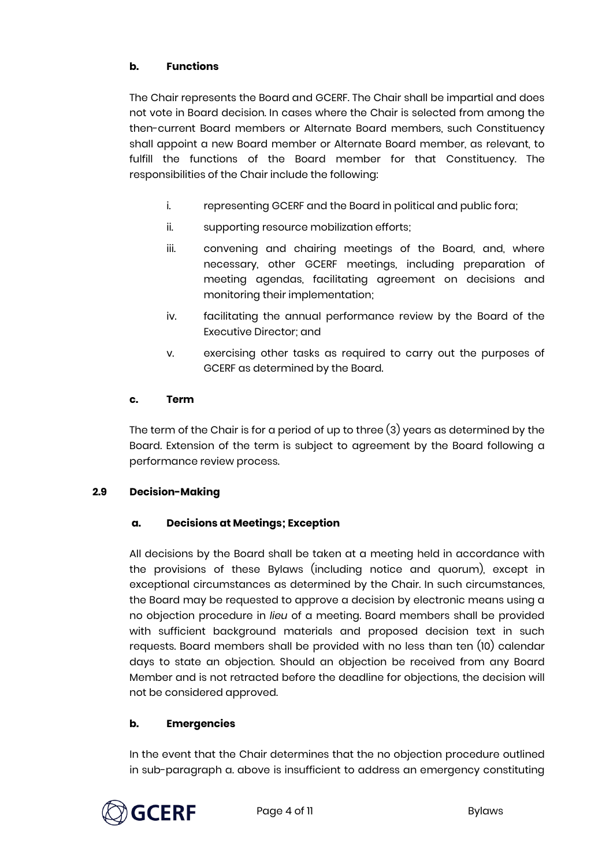# **b. Functions**

The Chair represents the Board and GCERF. The Chair shall be impartial and does not vote in Board decision. In cases where the Chair is selected from among the then-current Board members or Alternate Board members, such Constituency shall appoint a new Board member or Alternate Board member, as relevant, to fulfill the functions of the Board member for that Constituency. The responsibilities of the Chair include the following:

- i. representing GCERF and the Board in political and public fora;
- ii. supporting resource mobilization efforts;
- iii. convening and chairing meetings of the Board, and, where necessary, other GCERF meetings, including preparation of meeting agendas, facilitating agreement on decisions and monitoring their implementation;
- iv. facilitating the annual performance review by the Board of the Executive Director; and
- v. exercising other tasks as required to carry out the purposes of GCERF as determined by the Board.

# **c. Term**

The term of the Chair is for a period of up to three (3) years as determined by the Board. Extension of the term is subject to agreement by the Board following a performance review process.

# **2.9 Decision-Making**

# **a. Decisions at Meetings; Exception**

All decisions by the Board shall be taken at a meeting held in accordance with the provisions of these Bylaws (including notice and quorum), except in exceptional circumstances as determined by the Chair. In such circumstances, the Board may be requested to approve a decision by electronic means using a no objection procedure in *lieu* of a meeting. Board members shall be provided with sufficient background materials and proposed decision text in such requests. Board members shall be provided with no less than ten (10) calendar days to state an objection. Should an objection be received from any Board Member and is not retracted before the deadline for objections, the decision will not be considered approved.

# **b. Emergencies**

In the event that the Chair determines that the no objection procedure outlined in sub-paragraph a. above is insufficient to address an emergency constituting

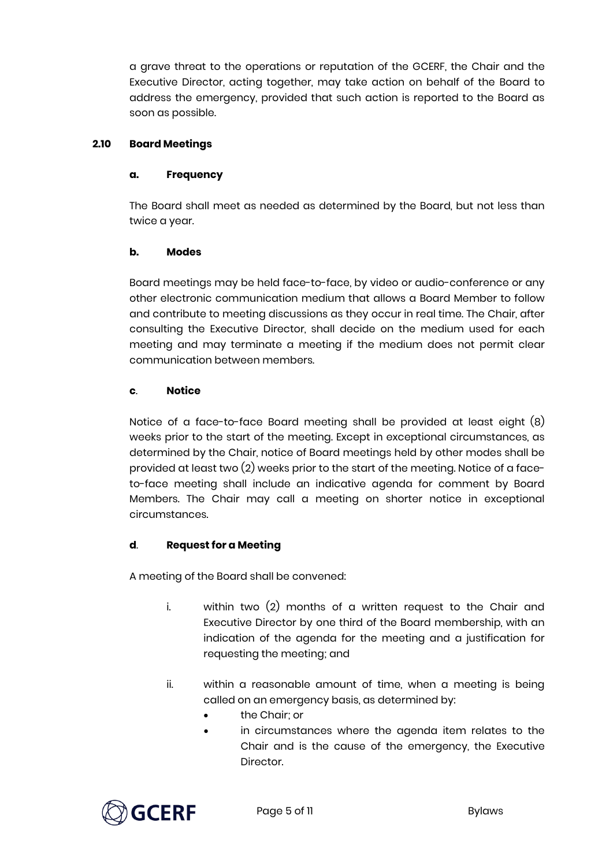a grave threat to the operations or reputation of the GCERF, the Chair and the Executive Director, acting together, may take action on behalf of the Board to address the emergency, provided that such action is reported to the Board as soon as possible.

# **2.10 Board Meetings**

## **a. Frequency**

The Board shall meet as needed as determined by the Board, but not less than twice a year.

# **b. Modes**

Board meetings may be held face-to-face, by video or audio-conference or any other electronic communication medium that allows a Board Member to follow and contribute to meeting discussions as they occur in real time. The Chair, after consulting the Executive Director, shall decide on the medium used for each meeting and may terminate a meeting if the medium does not permit clear communication between members.

# **c**. **Notice**

Notice of a face-to-face Board meeting shall be provided at least eight (8) weeks prior to the start of the meeting. Except in exceptional circumstances, as determined by the Chair, notice of Board meetings held by other modes shall be provided at least two (2) weeks prior to the start of the meeting. Notice of a faceto-face meeting shall include an indicative agenda for comment by Board Members. The Chair may call a meeting on shorter notice in exceptional circumstances.

# **d**. **Request for a Meeting**

A meeting of the Board shall be convened:

- i. within two (2) months of a written request to the Chair and Executive Director by one third of the Board membership, with an indication of the agenda for the meeting and a justification for requesting the meeting; and
- ii. within a reasonable amount of time, when a meeting is being called on an emergency basis, as determined by:
	- the Chair; or
	- in circumstances where the agenda item relates to the Chair and is the cause of the emergency, the Executive **Director**

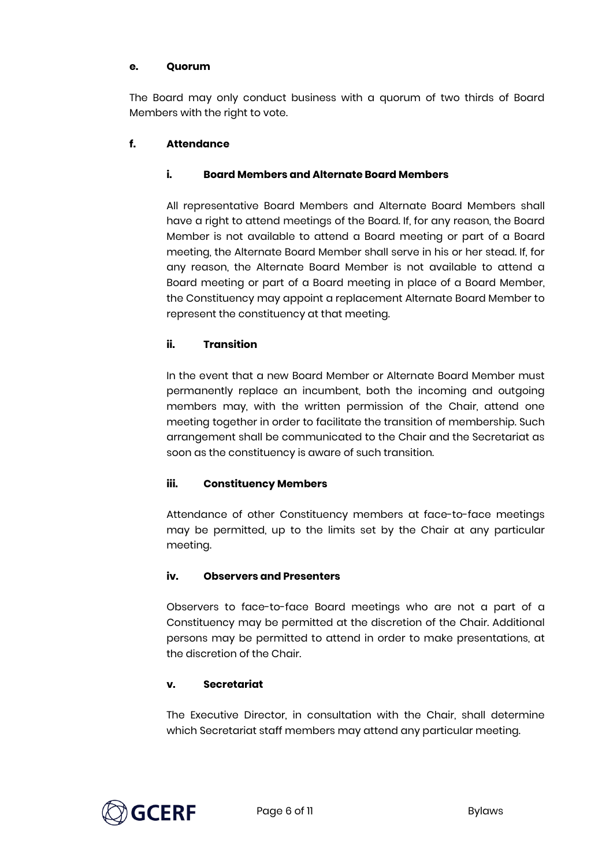# **e. Quorum**

The Board may only conduct business with a quorum of two thirds of Board Members with the right to vote.

# **f. Attendance**

# **i. Board Members and Alternate Board Members**

All representative Board Members and Alternate Board Members shall have a right to attend meetings of the Board. If, for any reason, the Board Member is not available to attend a Board meeting or part of a Board meeting, the Alternate Board Member shall serve in his or her stead. If, for any reason, the Alternate Board Member is not available to attend a Board meeting or part of a Board meeting in place of a Board Member, the Constituency may appoint a replacement Alternate Board Member to represent the constituency at that meeting.

# **ii. Transition**

In the event that a new Board Member or Alternate Board Member must permanently replace an incumbent, both the incoming and outgoing members may, with the written permission of the Chair, attend one meeting together in order to facilitate the transition of membership. Such arrangement shall be communicated to the Chair and the Secretariat as soon as the constituency is aware of such transition.

## **iii. Constituency Members**

Attendance of other Constituency members at face-to-face meetings may be permitted, up to the limits set by the Chair at any particular meeting.

## **iv. Observers and Presenters**

Observers to face-to-face Board meetings who are not a part of a Constituency may be permitted at the discretion of the Chair. Additional persons may be permitted to attend in order to make presentations, at the discretion of the Chair.

## **v. Secretariat**

The Executive Director, in consultation with the Chair, shall determine which Secretariat staff members may attend any particular meeting.

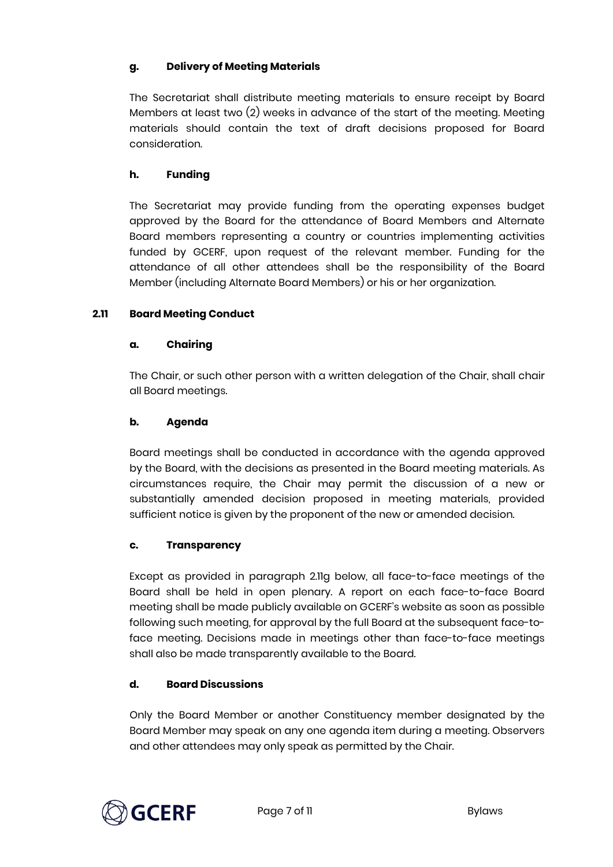# **g. Delivery of Meeting Materials**

The Secretariat shall distribute meeting materials to ensure receipt by Board Members at least two (2) weeks in advance of the start of the meeting. Meeting materials should contain the text of draft decisions proposed for Board consideration.

## **h. Funding**

The Secretariat may provide funding from the operating expenses budget approved by the Board for the attendance of Board Members and Alternate Board members representing a country or countries implementing activities funded by GCERF, upon request of the relevant member. Funding for the attendance of all other attendees shall be the responsibility of the Board Member (including Alternate Board Members) or his or her organization.

# **2.11 Board Meeting Conduct**

## **a. Chairing**

The Chair, or such other person with a written delegation of the Chair, shall chair all Board meetings.

# **b. Agenda**

Board meetings shall be conducted in accordance with the agenda approved by the Board, with the decisions as presented in the Board meeting materials. As circumstances require, the Chair may permit the discussion of a new or substantially amended decision proposed in meeting materials, provided sufficient notice is given by the proponent of the new or amended decision.

## **c. Transparency**

Except as provided in paragraph 2.11g below, all face-to-face meetings of the Board shall be held in open plenary. A report on each face-to-face Board meeting shall be made publicly available on GCERF's website as soon as possible following such meeting, for approval by the full Board at the subsequent face-toface meeting. Decisions made in meetings other than face-to-face meetings shall also be made transparently available to the Board.

## **d. Board Discussions**

Only the Board Member or another Constituency member designated by the Board Member may speak on any one agenda item during a meeting. Observers and other attendees may only speak as permitted by the Chair.

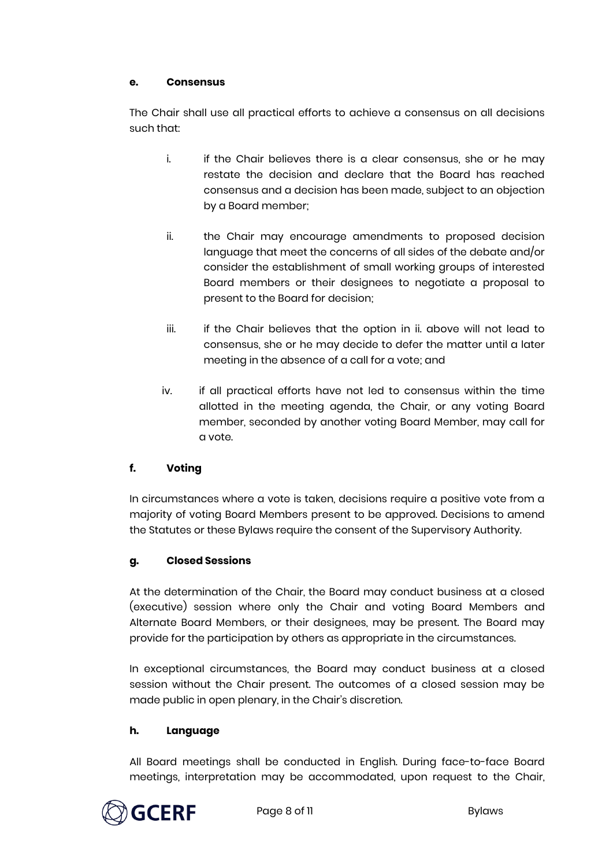# **e. Consensus**

The Chair shall use all practical efforts to achieve a consensus on all decisions such that:

- i. if the Chair believes there is a clear consensus, she or he may restate the decision and declare that the Board has reached consensus and a decision has been made, subject to an objection by a Board member;
- ii. the Chair may encourage amendments to proposed decision language that meet the concerns of all sides of the debate and/or consider the establishment of small working groups of interested Board members or their designees to negotiate a proposal to present to the Board for decision;
- iii. if the Chair believes that the option in ii. above will not lead to consensus, she or he may decide to defer the matter until a later meeting in the absence of a call for a vote; and
- iv. if all practical efforts have not led to consensus within the time allotted in the meeting agenda, the Chair, or any voting Board member, seconded by another voting Board Member, may call for a vote.

# **f. Voting**

In circumstances where a vote is taken, decisions require a positive vote from a majority of voting Board Members present to be approved. Decisions to amend the Statutes or these Bylaws require the consent of the Supervisory Authority.

# **g. Closed Sessions**

At the determination of the Chair, the Board may conduct business at a closed (executive) session where only the Chair and voting Board Members and Alternate Board Members, or their designees, may be present. The Board may provide for the participation by others as appropriate in the circumstances.

In exceptional circumstances, the Board may conduct business at a closed session without the Chair present. The outcomes of a closed session may be made public in open plenary, in the Chair's discretion.

# **h. Language**

All Board meetings shall be conducted in English. During face-to-face Board meetings, interpretation may be accommodated, upon request to the Chair,

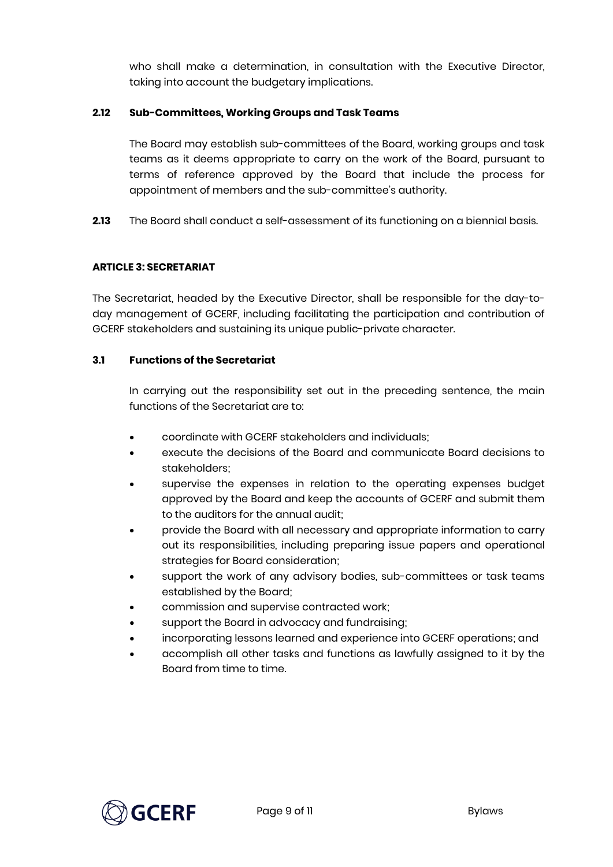who shall make a determination, in consultation with the Executive Director, taking into account the budgetary implications.

## **2.12 Sub-Committees, Working Groups and Task Teams**

The Board may establish sub-committees of the Board, working groups and task teams as it deems appropriate to carry on the work of the Board, pursuant to terms of reference approved by the Board that include the process for appointment of members and the sub-committee's authority.

**2.13** The Board shall conduct a self-assessment of its functioning on a biennial basis.

# **ARTICLE 3: SECRETARIAT**

The Secretariat, headed by the Executive Director, shall be responsible for the day-today management of GCERF, including facilitating the participation and contribution of GCERF stakeholders and sustaining its unique public-private character.

# **3.1 Functions of the Secretariat**

In carrying out the responsibility set out in the preceding sentence, the main functions of the Secretariat are to:

- coordinate with GCERF stakeholders and individuals;
- execute the decisions of the Board and communicate Board decisions to stakeholders;
- supervise the expenses in relation to the operating expenses budget approved by the Board and keep the accounts of GCERF and submit them to the auditors for the annual audit;
- provide the Board with all necessary and appropriate information to carry out its responsibilities, including preparing issue papers and operational strategies for Board consideration;
- support the work of any advisory bodies, sub-committees or task teams established by the Board;
- commission and supervise contracted work;
- support the Board in advocacy and fundraising;
- incorporating lessons learned and experience into GCERF operations; and
- accomplish all other tasks and functions as lawfully assigned to it by the Board from time to time.

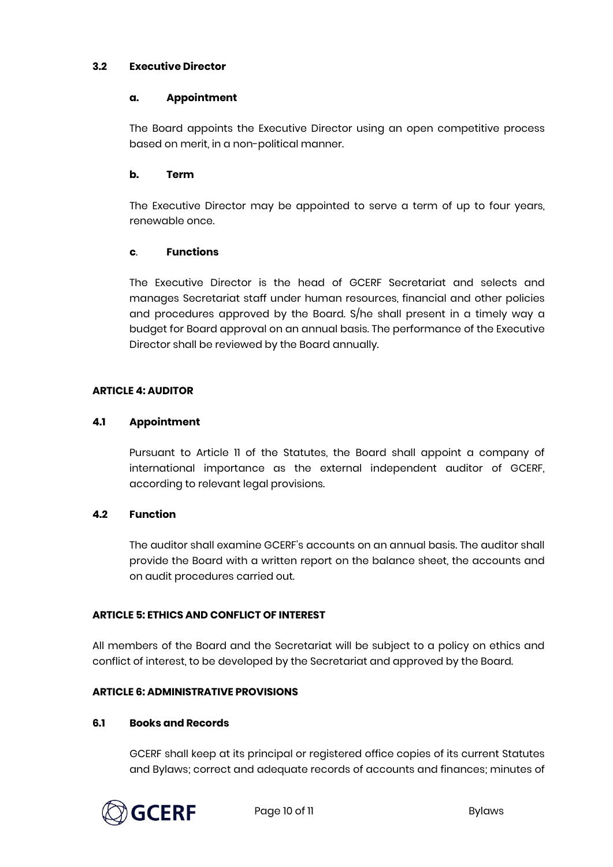## **3.2 Executive Director**

#### **a. Appointment**

The Board appoints the Executive Director using an open competitive process based on merit, in a non-political manner.

## **b. Term**

The Executive Director may be appointed to serve a term of up to four years, renewable once.

#### **c**. **Functions**

The Executive Director is the head of GCERF Secretariat and selects and manages Secretariat staff under human resources, financial and other policies and procedures approved by the Board. S/he shall present in a timely way a budget for Board approval on an annual basis. The performance of the Executive Director shall be reviewed by the Board annually.

## **ARTICLE 4: AUDITOR**

#### **4.1 Appointment**

Pursuant to Article 11 of the Statutes, the Board shall appoint a company of international importance as the external independent auditor of GCERF, according to relevant legal provisions.

## **4.2 Function**

The auditor shall examine GCERF's accounts on an annual basis. The auditor shall provide the Board with a written report on the balance sheet, the accounts and on audit procedures carried out.

## **ARTICLE 5: ETHICS AND CONFLICT OF INTEREST**

All members of the Board and the Secretariat will be subject to a policy on ethics and conflict of interest, to be developed by the Secretariat and approved by the Board.

#### **ARTICLE 6: ADMINISTRATIVE PROVISIONS**

#### **6.1 Books and Records**

GCERF shall keep at its principal or registered office copies of its current Statutes and Bylaws; correct and adequate records of accounts and finances; minutes of